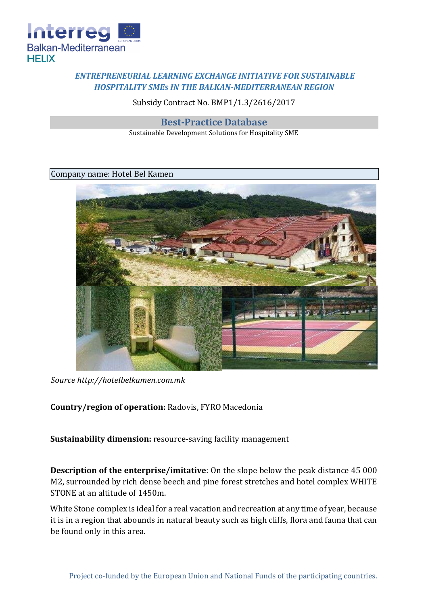

## *ENTREPRENEURIAL LEARNING EXCHANGE INITIATIVE FOR SUSTAINABLE HOSPITALITY SMEs IN THE BALKAN-MEDITERRANEAN REGION*

Subsidy Contract No. BMP1/1.3/2616/2017

**Best-Practice Database**

Sustainable Development Solutions for Hospitality SME

## Company name: Hotel Bel Kamen



*Source http://hotelbelkamen.com.mk*

**Country/region of operation:** Radovis, FYRO Macedonia

**Sustainability dimension:** resource-saving facility management

**Description of the enterprise/imitative**: On the slope below the peak distance 45 000 M2, surrounded by rich dense beech and pine forest stretches and hotel complex WHITE STONE at an altitude of 1450m.

White Stone complex is ideal for a real vacation and recreation at any time of year, because it is in a region that abounds in natural beauty such as high cliffs, flora and fauna that can be found only in this area.